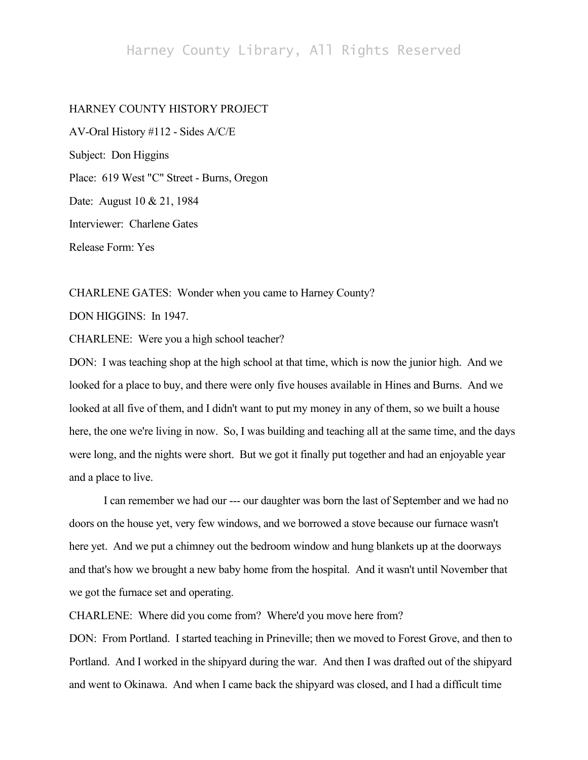# Harney County Library, All Rights Reserved

#### HARNEY COUNTY HISTORY PROJECT

AV-Oral History #112 - Sides A/C/E Subject: Don Higgins Place: 619 West "C" Street - Burns, Oregon Date: August 10 & 21, 1984 Interviewer: Charlene Gates Release Form: Yes

CHARLENE GATES: Wonder when you came to Harney County? DON HIGGINS: In 1947.

CHARLENE: Were you a high school teacher?

DON: I was teaching shop at the high school at that time, which is now the junior high. And we looked for a place to buy, and there were only five houses available in Hines and Burns. And we looked at all five of them, and I didn't want to put my money in any of them, so we built a house here, the one we're living in now. So, I was building and teaching all at the same time, and the days were long, and the nights were short. But we got it finally put together and had an enjoyable year and a place to live.

I can remember we had our --- our daughter was born the last of September and we had no doors on the house yet, very few windows, and we borrowed a stove because our furnace wasn't here yet. And we put a chimney out the bedroom window and hung blankets up at the doorways and that's how we brought a new baby home from the hospital. And it wasn't until November that we got the furnace set and operating.

CHARLENE: Where did you come from? Where'd you move here from?

DON: From Portland. I started teaching in Prineville; then we moved to Forest Grove, and then to Portland. And I worked in the shipyard during the war. And then I was drafted out of the shipyard and went to Okinawa. And when I came back the shipyard was closed, and I had a difficult time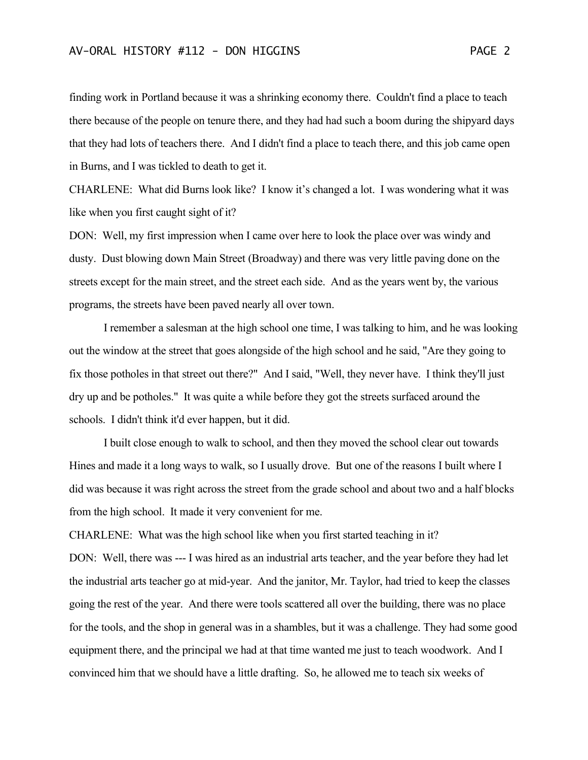finding work in Portland because it was a shrinking economy there. Couldn't find a place to teach there because of the people on tenure there, and they had had such a boom during the shipyard days that they had lots of teachers there. And I didn't find a place to teach there, and this job came open in Burns, and I was tickled to death to get it.

CHARLENE: What did Burns look like? I know it's changed a lot. I was wondering what it was like when you first caught sight of it?

DON: Well, my first impression when I came over here to look the place over was windy and dusty. Dust blowing down Main Street (Broadway) and there was very little paving done on the streets except for the main street, and the street each side. And as the years went by, the various programs, the streets have been paved nearly all over town.

I remember a salesman at the high school one time, I was talking to him, and he was looking out the window at the street that goes alongside of the high school and he said, "Are they going to fix those potholes in that street out there?" And I said, "Well, they never have. I think they'll just dry up and be potholes." It was quite a while before they got the streets surfaced around the schools. I didn't think it'd ever happen, but it did.

I built close enough to walk to school, and then they moved the school clear out towards Hines and made it a long ways to walk, so I usually drove. But one of the reasons I built where I did was because it was right across the street from the grade school and about two and a half blocks from the high school. It made it very convenient for me.

CHARLENE: What was the high school like when you first started teaching in it? DON: Well, there was --- I was hired as an industrial arts teacher, and the year before they had let the industrial arts teacher go at mid-year. And the janitor, Mr. Taylor, had tried to keep the classes going the rest of the year. And there were tools scattered all over the building, there was no place for the tools, and the shop in general was in a shambles, but it was a challenge. They had some good equipment there, and the principal we had at that time wanted me just to teach woodwork. And I convinced him that we should have a little drafting. So, he allowed me to teach six weeks of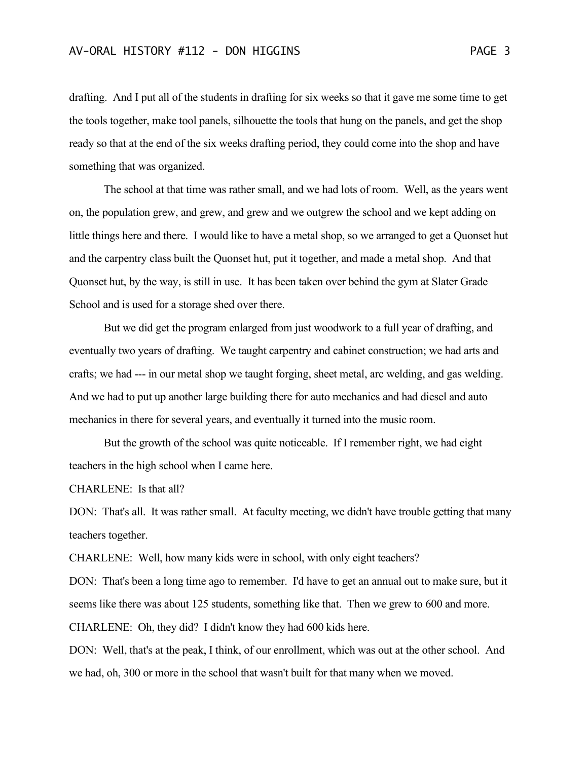drafting. And I put all of the students in drafting for six weeks so that it gave me some time to get the tools together, make tool panels, silhouette the tools that hung on the panels, and get the shop ready so that at the end of the six weeks drafting period, they could come into the shop and have something that was organized.

The school at that time was rather small, and we had lots of room. Well, as the years went on, the population grew, and grew, and grew and we outgrew the school and we kept adding on little things here and there. I would like to have a metal shop, so we arranged to get a Quonset hut and the carpentry class built the Quonset hut, put it together, and made a metal shop. And that Quonset hut, by the way, is still in use. It has been taken over behind the gym at Slater Grade School and is used for a storage shed over there.

But we did get the program enlarged from just woodwork to a full year of drafting, and eventually two years of drafting. We taught carpentry and cabinet construction; we had arts and crafts; we had --- in our metal shop we taught forging, sheet metal, arc welding, and gas welding. And we had to put up another large building there for auto mechanics and had diesel and auto mechanics in there for several years, and eventually it turned into the music room.

But the growth of the school was quite noticeable. If I remember right, we had eight teachers in the high school when I came here.

CHARLENE: Is that all?

DON: That's all. It was rather small. At faculty meeting, we didn't have trouble getting that many teachers together.

CHARLENE: Well, how many kids were in school, with only eight teachers?

DON: That's been a long time ago to remember. I'd have to get an annual out to make sure, but it seems like there was about 125 students, something like that. Then we grew to 600 and more. CHARLENE: Oh, they did? I didn't know they had 600 kids here.

DON: Well, that's at the peak, I think, of our enrollment, which was out at the other school. And we had, oh, 300 or more in the school that wasn't built for that many when we moved.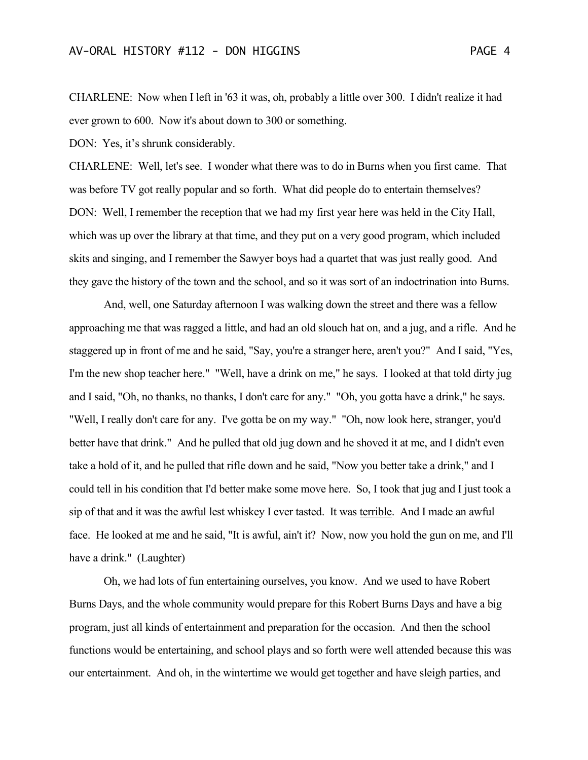CHARLENE: Now when I left in '63 it was, oh, probably a little over 300. I didn't realize it had ever grown to 600. Now it's about down to 300 or something.

DON: Yes, it's shrunk considerably.

CHARLENE: Well, let's see. I wonder what there was to do in Burns when you first came. That was before TV got really popular and so forth. What did people do to entertain themselves? DON: Well, I remember the reception that we had my first year here was held in the City Hall, which was up over the library at that time, and they put on a very good program, which included skits and singing, and I remember the Sawyer boys had a quartet that was just really good. And they gave the history of the town and the school, and so it was sort of an indoctrination into Burns.

And, well, one Saturday afternoon I was walking down the street and there was a fellow approaching me that was ragged a little, and had an old slouch hat on, and a jug, and a rifle. And he staggered up in front of me and he said, "Say, you're a stranger here, aren't you?" And I said, "Yes, I'm the new shop teacher here." "Well, have a drink on me," he says. I looked at that told dirty jug and I said, "Oh, no thanks, no thanks, I don't care for any." "Oh, you gotta have a drink," he says. "Well, I really don't care for any. I've gotta be on my way." "Oh, now look here, stranger, you'd better have that drink." And he pulled that old jug down and he shoved it at me, and I didn't even take a hold of it, and he pulled that rifle down and he said, "Now you better take a drink," and I could tell in his condition that I'd better make some move here. So, I took that jug and I just took a sip of that and it was the awful lest whiskey I ever tasted. It was terrible. And I made an awful face. He looked at me and he said, "It is awful, ain't it? Now, now you hold the gun on me, and I'll have a drink." (Laughter)

Oh, we had lots of fun entertaining ourselves, you know. And we used to have Robert Burns Days, and the whole community would prepare for this Robert Burns Days and have a big program, just all kinds of entertainment and preparation for the occasion. And then the school functions would be entertaining, and school plays and so forth were well attended because this was our entertainment. And oh, in the wintertime we would get together and have sleigh parties, and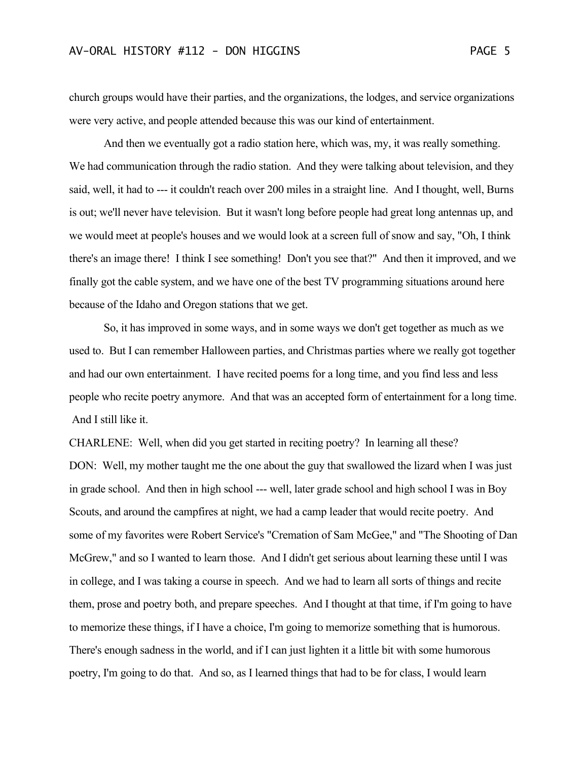church groups would have their parties, and the organizations, the lodges, and service organizations were very active, and people attended because this was our kind of entertainment.

And then we eventually got a radio station here, which was, my, it was really something. We had communication through the radio station. And they were talking about television, and they said, well, it had to --- it couldn't reach over 200 miles in a straight line. And I thought, well, Burns is out; we'll never have television. But it wasn't long before people had great long antennas up, and we would meet at people's houses and we would look at a screen full of snow and say, "Oh, I think there's an image there! I think I see something! Don't you see that?" And then it improved, and we finally got the cable system, and we have one of the best TV programming situations around here because of the Idaho and Oregon stations that we get.

So, it has improved in some ways, and in some ways we don't get together as much as we used to. But I can remember Halloween parties, and Christmas parties where we really got together and had our own entertainment. I have recited poems for a long time, and you find less and less people who recite poetry anymore. And that was an accepted form of entertainment for a long time. And I still like it.

CHARLENE: Well, when did you get started in reciting poetry? In learning all these? DON: Well, my mother taught me the one about the guy that swallowed the lizard when I was just in grade school. And then in high school --- well, later grade school and high school I was in Boy Scouts, and around the campfires at night, we had a camp leader that would recite poetry. And some of my favorites were Robert Service's "Cremation of Sam McGee," and "The Shooting of Dan McGrew," and so I wanted to learn those. And I didn't get serious about learning these until I was in college, and I was taking a course in speech. And we had to learn all sorts of things and recite them, prose and poetry both, and prepare speeches. And I thought at that time, if I'm going to have to memorize these things, if I have a choice, I'm going to memorize something that is humorous. There's enough sadness in the world, and if I can just lighten it a little bit with some humorous poetry, I'm going to do that. And so, as I learned things that had to be for class, I would learn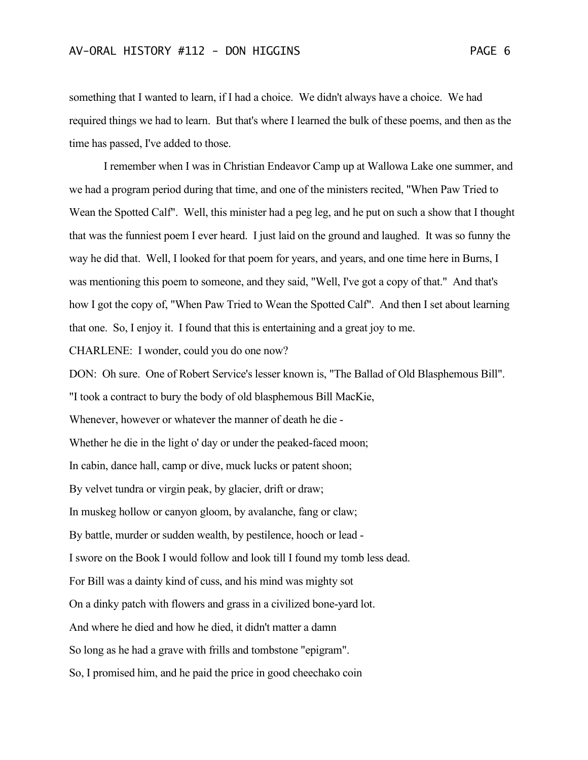something that I wanted to learn, if I had a choice. We didn't always have a choice. We had required things we had to learn. But that's where I learned the bulk of these poems, and then as the time has passed, I've added to those.

I remember when I was in Christian Endeavor Camp up at Wallowa Lake one summer, and we had a program period during that time, and one of the ministers recited, "When Paw Tried to Wean the Spotted Calf". Well, this minister had a peg leg, and he put on such a show that I thought that was the funniest poem I ever heard. I just laid on the ground and laughed. It was so funny the way he did that. Well, I looked for that poem for years, and years, and one time here in Burns, I was mentioning this poem to someone, and they said, "Well, I've got a copy of that." And that's how I got the copy of, "When Paw Tried to Wean the Spotted Calf". And then I set about learning that one. So, I enjoy it. I found that this is entertaining and a great joy to me.

CHARLENE: I wonder, could you do one now?

DON: Oh sure. One of Robert Service's lesser known is, "The Ballad of Old Blasphemous Bill". "I took a contract to bury the body of old blasphemous Bill MacKie, Whenever, however or whatever the manner of death he die - Whether he die in the light o' day or under the peaked-faced moon; In cabin, dance hall, camp or dive, muck lucks or patent shoon; By velvet tundra or virgin peak, by glacier, drift or draw; In muskeg hollow or canyon gloom, by avalanche, fang or claw; By battle, murder or sudden wealth, by pestilence, hooch or lead - I swore on the Book I would follow and look till I found my tomb less dead. For Bill was a dainty kind of cuss, and his mind was mighty sot On a dinky patch with flowers and grass in a civilized bone-yard lot. And where he died and how he died, it didn't matter a damn So long as he had a grave with frills and tombstone "epigram". So, I promised him, and he paid the price in good cheechako coin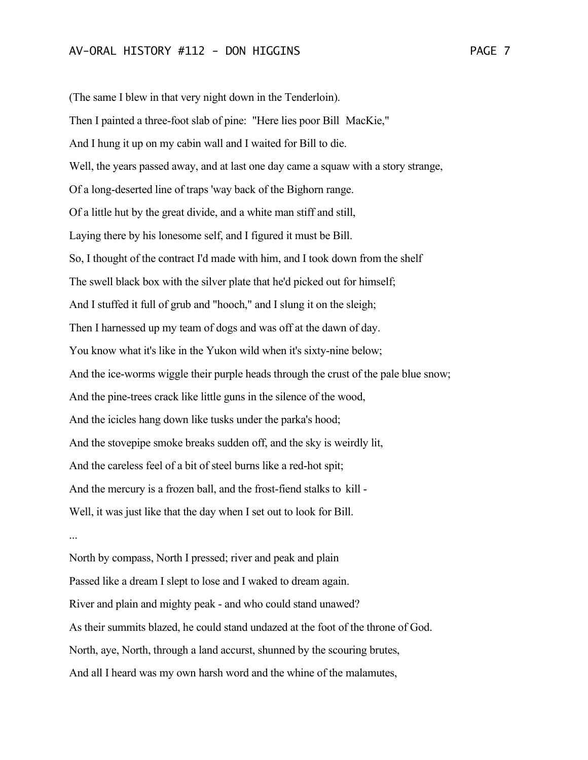(The same I blew in that very night down in the Tenderloin). Then I painted a three-foot slab of pine: "Here lies poor Bill MacKie," And I hung it up on my cabin wall and I waited for Bill to die. Well, the years passed away, and at last one day came a squaw with a story strange, Of a long-deserted line of traps 'way back of the Bighorn range. Of a little hut by the great divide, and a white man stiff and still, Laying there by his lonesome self, and I figured it must be Bill. So, I thought of the contract I'd made with him, and I took down from the shelf The swell black box with the silver plate that he'd picked out for himself; And I stuffed it full of grub and "hooch," and I slung it on the sleigh; Then I harnessed up my team of dogs and was off at the dawn of day. You know what it's like in the Yukon wild when it's sixty-nine below; And the ice-worms wiggle their purple heads through the crust of the pale blue snow; And the pine-trees crack like little guns in the silence of the wood, And the icicles hang down like tusks under the parka's hood; And the stovepipe smoke breaks sudden off, and the sky is weirdly lit, And the careless feel of a bit of steel burns like a red-hot spit; And the mercury is a frozen ball, and the frost-fiend stalks to kill - Well, it was just like that the day when I set out to look for Bill. ...

North by compass, North I pressed; river and peak and plain Passed like a dream I slept to lose and I waked to dream again. River and plain and mighty peak - and who could stand unawed? As their summits blazed, he could stand undazed at the foot of the throne of God. North, aye, North, through a land accurst, shunned by the scouring brutes, And all I heard was my own harsh word and the whine of the malamutes,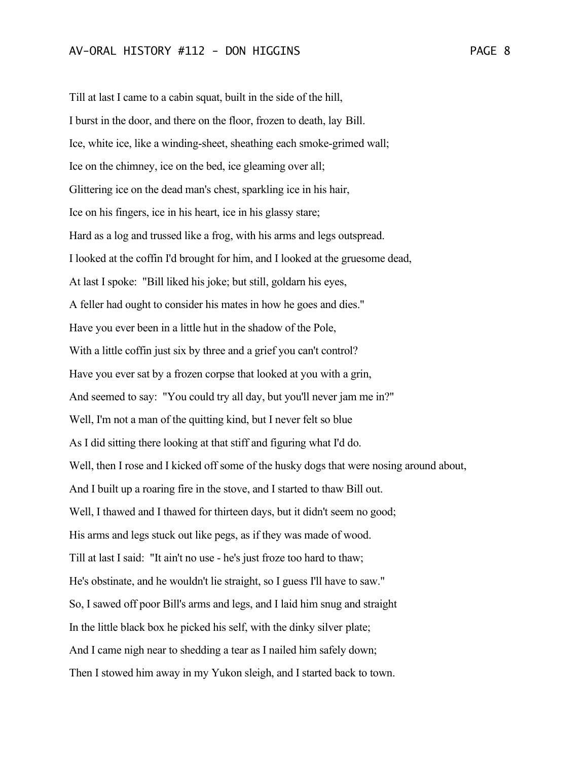Till at last I came to a cabin squat, built in the side of the hill, I burst in the door, and there on the floor, frozen to death, lay Bill. Ice, white ice, like a winding-sheet, sheathing each smoke-grimed wall; Ice on the chimney, ice on the bed, ice gleaming over all; Glittering ice on the dead man's chest, sparkling ice in his hair, Ice on his fingers, ice in his heart, ice in his glassy stare; Hard as a log and trussed like a frog, with his arms and legs outspread. I looked at the coffin I'd brought for him, and I looked at the gruesome dead, At last I spoke: "Bill liked his joke; but still, goldarn his eyes, A feller had ought to consider his mates in how he goes and dies." Have you ever been in a little hut in the shadow of the Pole, With a little coffin just six by three and a grief you can't control? Have you ever sat by a frozen corpse that looked at you with a grin, And seemed to say: "You could try all day, but you'll never jam me in?" Well, I'm not a man of the quitting kind, but I never felt so blue As I did sitting there looking at that stiff and figuring what I'd do. Well, then I rose and I kicked off some of the husky dogs that were nosing around about, And I built up a roaring fire in the stove, and I started to thaw Bill out. Well, I thawed and I thawed for thirteen days, but it didn't seem no good; His arms and legs stuck out like pegs, as if they was made of wood. Till at last I said: "It ain't no use - he's just froze too hard to thaw; He's obstinate, and he wouldn't lie straight, so I guess I'll have to saw." So, I sawed off poor Bill's arms and legs, and I laid him snug and straight In the little black box he picked his self, with the dinky silver plate; And I came nigh near to shedding a tear as I nailed him safely down; Then I stowed him away in my Yukon sleigh, and I started back to town.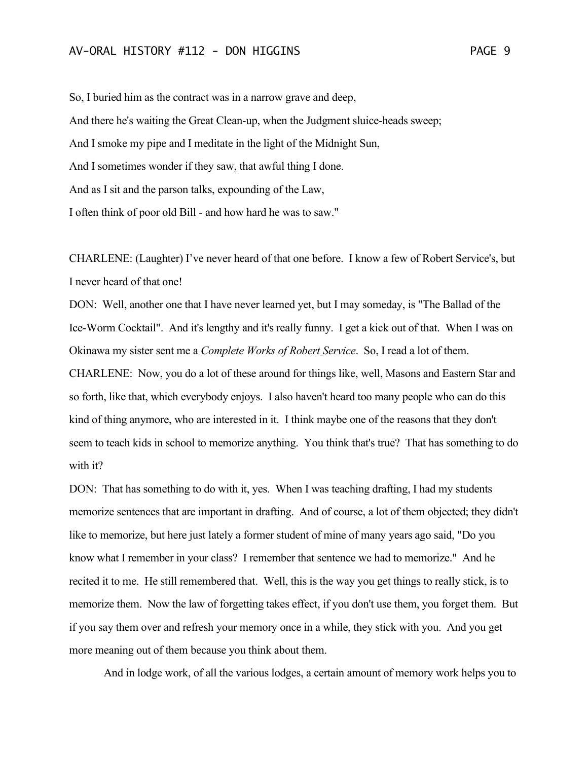So, I buried him as the contract was in a narrow grave and deep, And there he's waiting the Great Clean-up, when the Judgment sluice-heads sweep; And I smoke my pipe and I meditate in the light of the Midnight Sun, And I sometimes wonder if they saw, that awful thing I done. And as I sit and the parson talks, expounding of the Law, I often think of poor old Bill - and how hard he was to saw."

CHARLENE: (Laughter) I've never heard of that one before. I know a few of Robert Service's, but I never heard of that one!

DON: Well, another one that I have never learned yet, but I may someday, is "The Ballad of the Ice-Worm Cocktail". And it's lengthy and it's really funny. I get a kick out of that. When I was on Okinawa my sister sent me a *Complete Works of Robert Service*. So, I read a lot of them. CHARLENE: Now, you do a lot of these around for things like, well, Masons and Eastern Star and so forth, like that, which everybody enjoys. I also haven't heard too many people who can do this kind of thing anymore, who are interested in it. I think maybe one of the reasons that they don't seem to teach kids in school to memorize anything. You think that's true? That has something to do with it?

DON: That has something to do with it, yes. When I was teaching drafting, I had my students memorize sentences that are important in drafting. And of course, a lot of them objected; they didn't like to memorize, but here just lately a former student of mine of many years ago said, "Do you know what I remember in your class? I remember that sentence we had to memorize." And he recited it to me. He still remembered that. Well, this is the way you get things to really stick, is to memorize them. Now the law of forgetting takes effect, if you don't use them, you forget them. But if you say them over and refresh your memory once in a while, they stick with you. And you get more meaning out of them because you think about them.

And in lodge work, of all the various lodges, a certain amount of memory work helps you to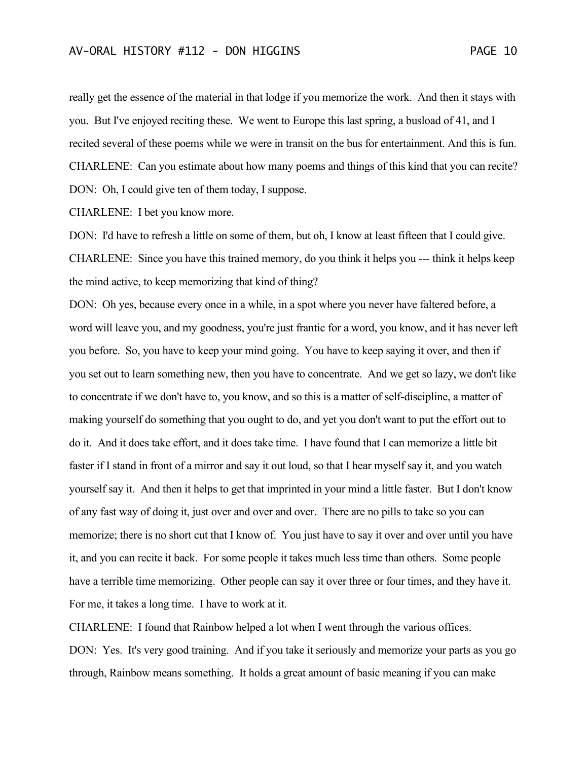really get the essence of the material in that lodge if you memorize the work. And then it stays with you. But I've enjoyed reciting these. We went to Europe this last spring, a busload of 41, and I recited several of these poems while we were in transit on the bus for entertainment. And this is fun. CHARLENE: Can you estimate about how many poems and things of this kind that you can recite? DON: Oh, I could give ten of them today, I suppose.

CHARLENE: I bet you know more.

DON: I'd have to refresh a little on some of them, but oh, I know at least fifteen that I could give. CHARLENE: Since you have this trained memory, do you think it helps you --- think it helps keep the mind active, to keep memorizing that kind of thing?

DON: Oh yes, because every once in a while, in a spot where you never have faltered before, a word will leave you, and my goodness, you're just frantic for a word, you know, and it has never left you before. So, you have to keep your mind going. You have to keep saying it over, and then if you set out to learn something new, then you have to concentrate. And we get so lazy, we don't like to concentrate if we don't have to, you know, and so this is a matter of self-discipline, a matter of making yourself do something that you ought to do, and yet you don't want to put the effort out to do it. And it does take effort, and it does take time. I have found that I can memorize a little bit faster if I stand in front of a mirror and say it out loud, so that I hear myself say it, and you watch yourself say it. And then it helps to get that imprinted in your mind a little faster. But I don't know of any fast way of doing it, just over and over and over. There are no pills to take so you can memorize; there is no short cut that I know of. You just have to say it over and over until you have it, and you can recite it back. For some people it takes much less time than others. Some people have a terrible time memorizing. Other people can say it over three or four times, and they have it. For me, it takes a long time. I have to work at it.

CHARLENE: I found that Rainbow helped a lot when I went through the various offices. DON: Yes. It's very good training. And if you take it seriously and memorize your parts as you go through, Rainbow means something. It holds a great amount of basic meaning if you can make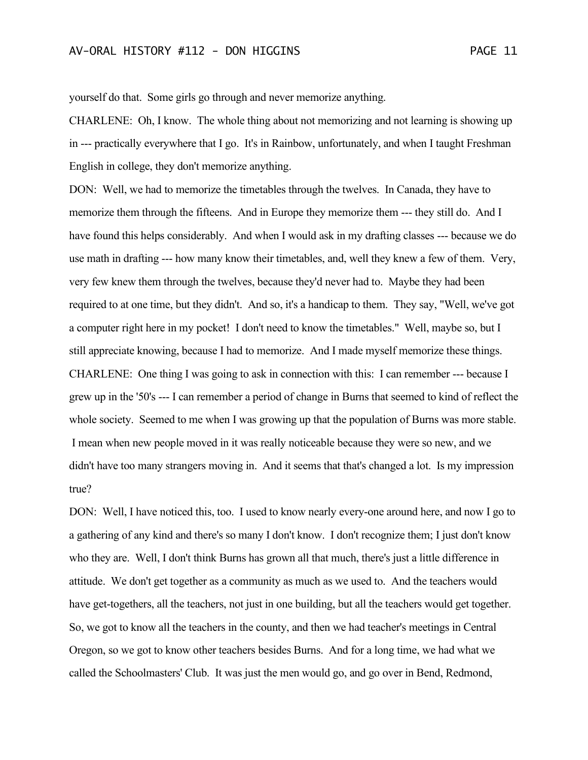yourself do that. Some girls go through and never memorize anything.

CHARLENE: Oh, I know. The whole thing about not memorizing and not learning is showing up in --- practically everywhere that I go. It's in Rainbow, unfortunately, and when I taught Freshman English in college, they don't memorize anything.

DON: Well, we had to memorize the timetables through the twelves. In Canada, they have to memorize them through the fifteens. And in Europe they memorize them --- they still do. And I have found this helps considerably. And when I would ask in my drafting classes --- because we do use math in drafting --- how many know their timetables, and, well they knew a few of them. Very, very few knew them through the twelves, because they'd never had to. Maybe they had been required to at one time, but they didn't. And so, it's a handicap to them. They say, "Well, we've got a computer right here in my pocket! I don't need to know the timetables." Well, maybe so, but I still appreciate knowing, because I had to memorize. And I made myself memorize these things. CHARLENE: One thing I was going to ask in connection with this: I can remember --- because I grew up in the '50's --- I can remember a period of change in Burns that seemed to kind of reflect the whole society. Seemed to me when I was growing up that the population of Burns was more stable. I mean when new people moved in it was really noticeable because they were so new, and we didn't have too many strangers moving in. And it seems that that's changed a lot. Is my impression true?

DON: Well, I have noticed this, too. I used to know nearly every-one around here, and now I go to a gathering of any kind and there's so many I don't know. I don't recognize them; I just don't know who they are. Well, I don't think Burns has grown all that much, there's just a little difference in attitude. We don't get together as a community as much as we used to. And the teachers would have get-togethers, all the teachers, not just in one building, but all the teachers would get together. So, we got to know all the teachers in the county, and then we had teacher's meetings in Central Oregon, so we got to know other teachers besides Burns. And for a long time, we had what we called the Schoolmasters' Club. It was just the men would go, and go over in Bend, Redmond,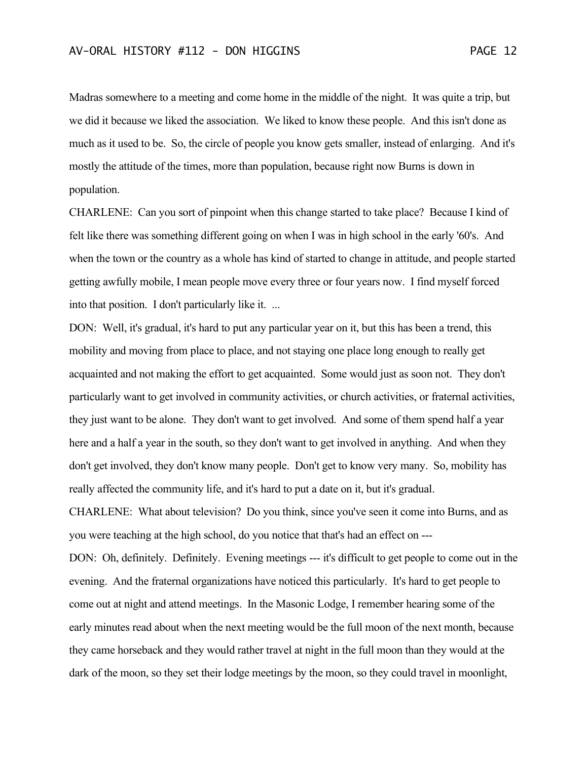Madras somewhere to a meeting and come home in the middle of the night. It was quite a trip, but we did it because we liked the association. We liked to know these people. And this isn't done as much as it used to be. So, the circle of people you know gets smaller, instead of enlarging. And it's mostly the attitude of the times, more than population, because right now Burns is down in population.

CHARLENE: Can you sort of pinpoint when this change started to take place? Because I kind of felt like there was something different going on when I was in high school in the early '60's. And when the town or the country as a whole has kind of started to change in attitude, and people started getting awfully mobile, I mean people move every three or four years now. I find myself forced into that position. I don't particularly like it. ...

DON: Well, it's gradual, it's hard to put any particular year on it, but this has been a trend, this mobility and moving from place to place, and not staying one place long enough to really get acquainted and not making the effort to get acquainted. Some would just as soon not. They don't particularly want to get involved in community activities, or church activities, or fraternal activities, they just want to be alone. They don't want to get involved. And some of them spend half a year here and a half a year in the south, so they don't want to get involved in anything. And when they don't get involved, they don't know many people. Don't get to know very many. So, mobility has really affected the community life, and it's hard to put a date on it, but it's gradual.

CHARLENE: What about television? Do you think, since you've seen it come into Burns, and as you were teaching at the high school, do you notice that that's had an effect on ---

DON: Oh, definitely. Definitely. Evening meetings --- it's difficult to get people to come out in the evening. And the fraternal organizations have noticed this particularly. It's hard to get people to come out at night and attend meetings. In the Masonic Lodge, I remember hearing some of the early minutes read about when the next meeting would be the full moon of the next month, because they came horseback and they would rather travel at night in the full moon than they would at the dark of the moon, so they set their lodge meetings by the moon, so they could travel in moonlight,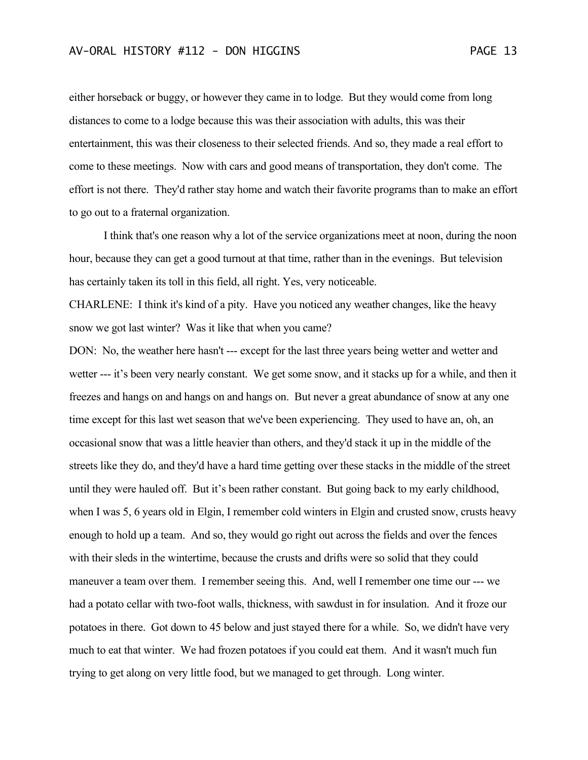either horseback or buggy, or however they came in to lodge. But they would come from long distances to come to a lodge because this was their association with adults, this was their entertainment, this was their closeness to their selected friends. And so, they made a real effort to come to these meetings. Now with cars and good means of transportation, they don't come. The effort is not there. They'd rather stay home and watch their favorite programs than to make an effort to go out to a fraternal organization.

I think that's one reason why a lot of the service organizations meet at noon, during the noon hour, because they can get a good turnout at that time, rather than in the evenings. But television has certainly taken its toll in this field, all right. Yes, very noticeable.

CHARLENE: I think it's kind of a pity. Have you noticed any weather changes, like the heavy snow we got last winter? Was it like that when you came?

DON: No, the weather here hasn't --- except for the last three years being wetter and wetter and wetter --- it's been very nearly constant. We get some snow, and it stacks up for a while, and then it freezes and hangs on and hangs on and hangs on. But never a great abundance of snow at any one time except for this last wet season that we've been experiencing. They used to have an, oh, an occasional snow that was a little heavier than others, and they'd stack it up in the middle of the streets like they do, and they'd have a hard time getting over these stacks in the middle of the street until they were hauled off. But it's been rather constant. But going back to my early childhood, when I was 5, 6 years old in Elgin, I remember cold winters in Elgin and crusted snow, crusts heavy enough to hold up a team. And so, they would go right out across the fields and over the fences with their sleds in the wintertime, because the crusts and drifts were so solid that they could maneuver a team over them. I remember seeing this. And, well I remember one time our --- we had a potato cellar with two-foot walls, thickness, with sawdust in for insulation. And it froze our potatoes in there. Got down to 45 below and just stayed there for a while. So, we didn't have very much to eat that winter. We had frozen potatoes if you could eat them. And it wasn't much fun trying to get along on very little food, but we managed to get through. Long winter.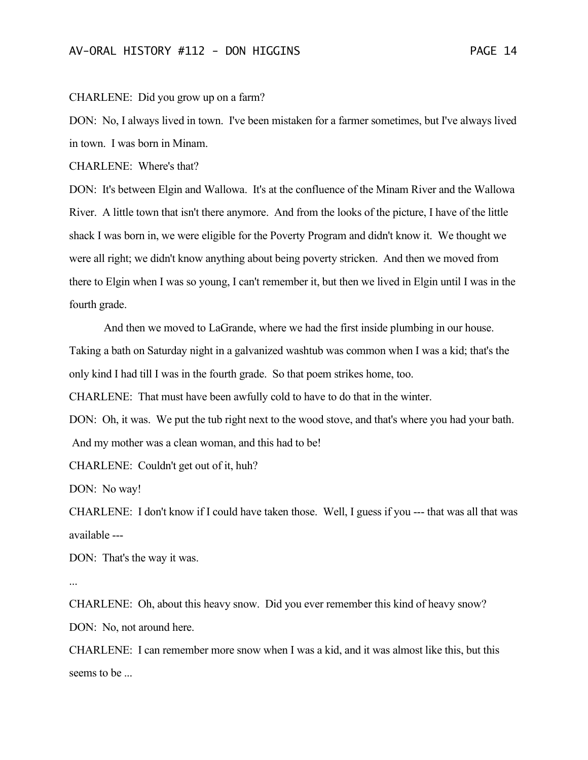#### CHARLENE: Did you grow up on a farm?

DON: No, I always lived in town. I've been mistaken for a farmer sometimes, but I've always lived in town. I was born in Minam.

CHARLENE: Where's that?

DON: It's between Elgin and Wallowa. It's at the confluence of the Minam River and the Wallowa River. A little town that isn't there anymore. And from the looks of the picture, I have of the little shack I was born in, we were eligible for the Poverty Program and didn't know it. We thought we were all right; we didn't know anything about being poverty stricken. And then we moved from there to Elgin when I was so young, I can't remember it, but then we lived in Elgin until I was in the fourth grade.

And then we moved to LaGrande, where we had the first inside plumbing in our house. Taking a bath on Saturday night in a galvanized washtub was common when I was a kid; that's the only kind I had till I was in the fourth grade. So that poem strikes home, too.

CHARLENE: That must have been awfully cold to have to do that in the winter.

DON: Oh, it was. We put the tub right next to the wood stove, and that's where you had your bath. And my mother was a clean woman, and this had to be!

CHARLENE: Couldn't get out of it, huh?

DON: No way!

CHARLENE: I don't know if I could have taken those. Well, I guess if you --- that was all that was available ---

DON: That's the way it was.

...

CHARLENE: Oh, about this heavy snow. Did you ever remember this kind of heavy snow? DON: No, not around here.

CHARLENE: I can remember more snow when I was a kid, and it was almost like this, but this seems to be ...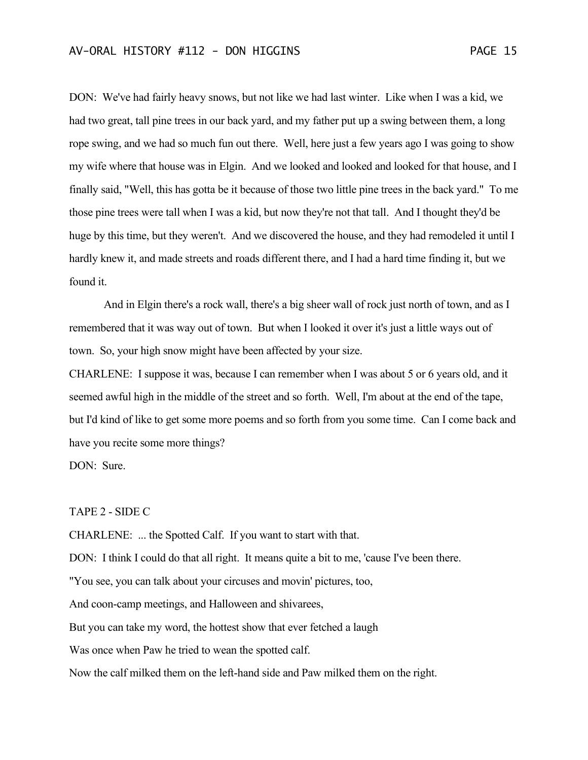DON: We've had fairly heavy snows, but not like we had last winter. Like when I was a kid, we had two great, tall pine trees in our back yard, and my father put up a swing between them, a long rope swing, and we had so much fun out there. Well, here just a few years ago I was going to show my wife where that house was in Elgin. And we looked and looked and looked for that house, and I finally said, "Well, this has gotta be it because of those two little pine trees in the back yard." To me those pine trees were tall when I was a kid, but now they're not that tall. And I thought they'd be huge by this time, but they weren't. And we discovered the house, and they had remodeled it until I hardly knew it, and made streets and roads different there, and I had a hard time finding it, but we found it.

And in Elgin there's a rock wall, there's a big sheer wall of rock just north of town, and as I remembered that it was way out of town. But when I looked it over it's just a little ways out of town. So, your high snow might have been affected by your size.

CHARLENE: I suppose it was, because I can remember when I was about 5 or 6 years old, and it seemed awful high in the middle of the street and so forth. Well, I'm about at the end of the tape, but I'd kind of like to get some more poems and so forth from you some time. Can I come back and have you recite some more things?

DON: Sure.

TAPE 2 - SIDE C

CHARLENE: ... the Spotted Calf. If you want to start with that.

DON: I think I could do that all right. It means quite a bit to me, 'cause I've been there.

"You see, you can talk about your circuses and movin' pictures, too,

And coon-camp meetings, and Halloween and shivarees,

But you can take my word, the hottest show that ever fetched a laugh

Was once when Paw he tried to wean the spotted calf.

Now the calf milked them on the left-hand side and Paw milked them on the right.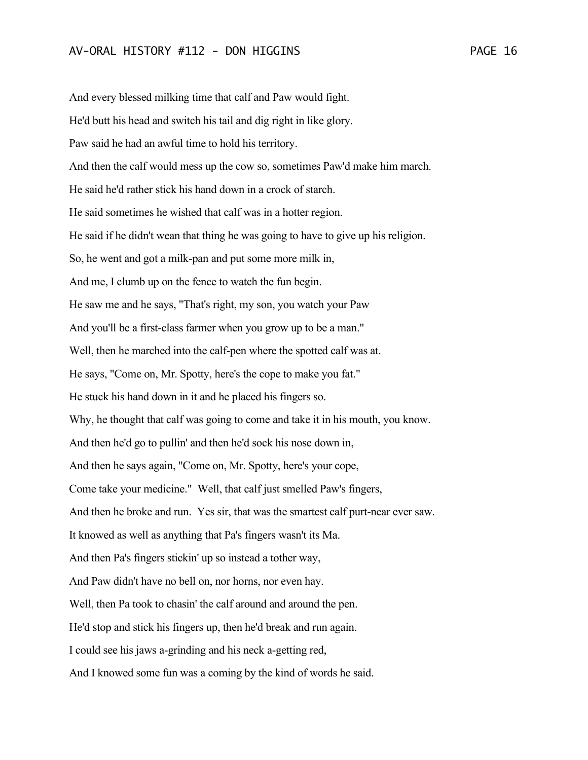And every blessed milking time that calf and Paw would fight. He'd butt his head and switch his tail and dig right in like glory. Paw said he had an awful time to hold his territory. And then the calf would mess up the cow so, sometimes Paw'd make him march. He said he'd rather stick his hand down in a crock of starch. He said sometimes he wished that calf was in a hotter region. He said if he didn't wean that thing he was going to have to give up his religion. So, he went and got a milk-pan and put some more milk in, And me, I clumb up on the fence to watch the fun begin. He saw me and he says, "That's right, my son, you watch your Paw And you'll be a first-class farmer when you grow up to be a man." Well, then he marched into the calf-pen where the spotted calf was at. He says, "Come on, Mr. Spotty, here's the cope to make you fat." He stuck his hand down in it and he placed his fingers so. Why, he thought that calf was going to come and take it in his mouth, you know. And then he'd go to pullin' and then he'd sock his nose down in, And then he says again, "Come on, Mr. Spotty, here's your cope, Come take your medicine." Well, that calf just smelled Paw's fingers, And then he broke and run. Yes sir, that was the smartest calf purt-near ever saw. It knowed as well as anything that Pa's fingers wasn't its Ma. And then Pa's fingers stickin' up so instead a tother way, And Paw didn't have no bell on, nor horns, nor even hay. Well, then Pa took to chasin' the calf around and around the pen. He'd stop and stick his fingers up, then he'd break and run again. I could see his jaws a-grinding and his neck a-getting red, And I knowed some fun was a coming by the kind of words he said.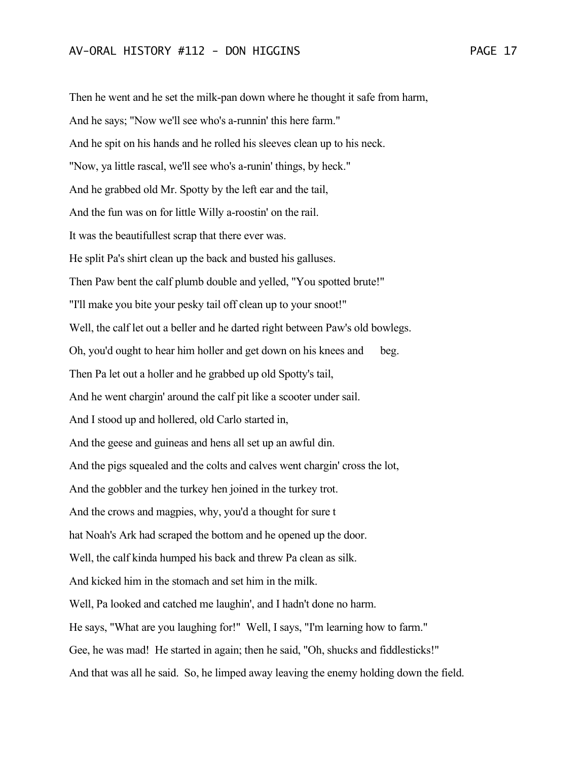Then he went and he set the milk-pan down where he thought it safe from harm, And he says; "Now we'll see who's a-runnin' this here farm." And he spit on his hands and he rolled his sleeves clean up to his neck. "Now, ya little rascal, we'll see who's a-runin' things, by heck." And he grabbed old Mr. Spotty by the left ear and the tail, And the fun was on for little Willy a-roostin' on the rail. It was the beautifullest scrap that there ever was. He split Pa's shirt clean up the back and busted his galluses. Then Paw bent the calf plumb double and yelled, "You spotted brute!" "I'll make you bite your pesky tail off clean up to your snoot!" Well, the calf let out a beller and he darted right between Paw's old bowlegs. Oh, you'd ought to hear him holler and get down on his knees and beg. Then Pa let out a holler and he grabbed up old Spotty's tail, And he went chargin' around the calf pit like a scooter under sail. And I stood up and hollered, old Carlo started in, And the geese and guineas and hens all set up an awful din. And the pigs squealed and the colts and calves went chargin' cross the lot, And the gobbler and the turkey hen joined in the turkey trot. And the crows and magpies, why, you'd a thought for sure t hat Noah's Ark had scraped the bottom and he opened up the door. Well, the calf kinda humped his back and threw Pa clean as silk. And kicked him in the stomach and set him in the milk. Well, Pa looked and catched me laughin', and I hadn't done no harm. He says, "What are you laughing for!" Well, I says, "I'm learning how to farm." Gee, he was mad! He started in again; then he said, "Oh, shucks and fiddlesticks!" And that was all he said. So, he limped away leaving the enemy holding down the field.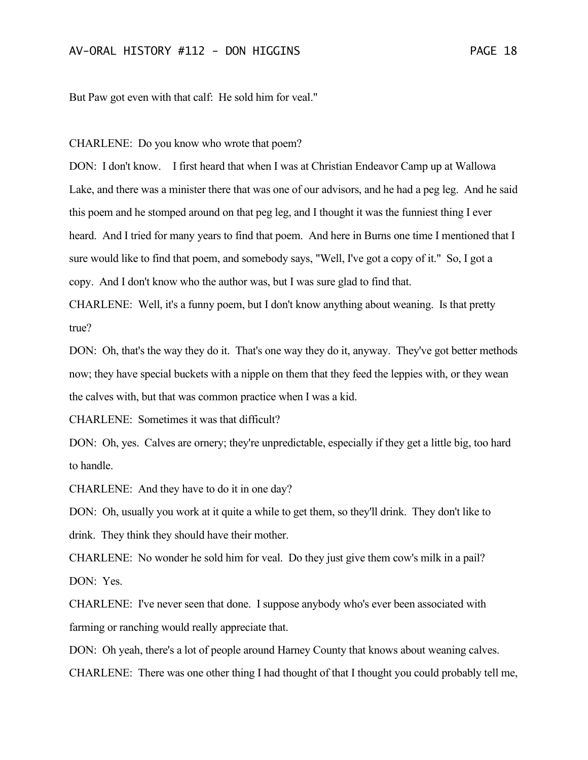But Paw got even with that calf: He sold him for veal."

CHARLENE: Do you know who wrote that poem?

DON: I don't know. I first heard that when I was at Christian Endeavor Camp up at Wallowa Lake, and there was a minister there that was one of our advisors, and he had a peg leg. And he said this poem and he stomped around on that peg leg, and I thought it was the funniest thing I ever heard. And I tried for many years to find that poem. And here in Burns one time I mentioned that I sure would like to find that poem, and somebody says, "Well, I've got a copy of it." So, I got a copy. And I don't know who the author was, but I was sure glad to find that.

CHARLENE: Well, it's a funny poem, but I don't know anything about weaning. Is that pretty true?

DON: Oh, that's the way they do it. That's one way they do it, anyway. They've got better methods now; they have special buckets with a nipple on them that they feed the leppies with, or they wean the calves with, but that was common practice when I was a kid.

CHARLENE: Sometimes it was that difficult?

DON: Oh, yes. Calves are ornery; they're unpredictable, especially if they get a little big, too hard to handle.

CHARLENE: And they have to do it in one day?

DON: Oh, usually you work at it quite a while to get them, so they'll drink. They don't like to drink. They think they should have their mother.

CHARLENE: No wonder he sold him for veal. Do they just give them cow's milk in a pail? DON: Yes.

CHARLENE: I've never seen that done. I suppose anybody who's ever been associated with farming or ranching would really appreciate that.

DON: Oh yeah, there's a lot of people around Harney County that knows about weaning calves. CHARLENE: There was one other thing I had thought of that I thought you could probably tell me,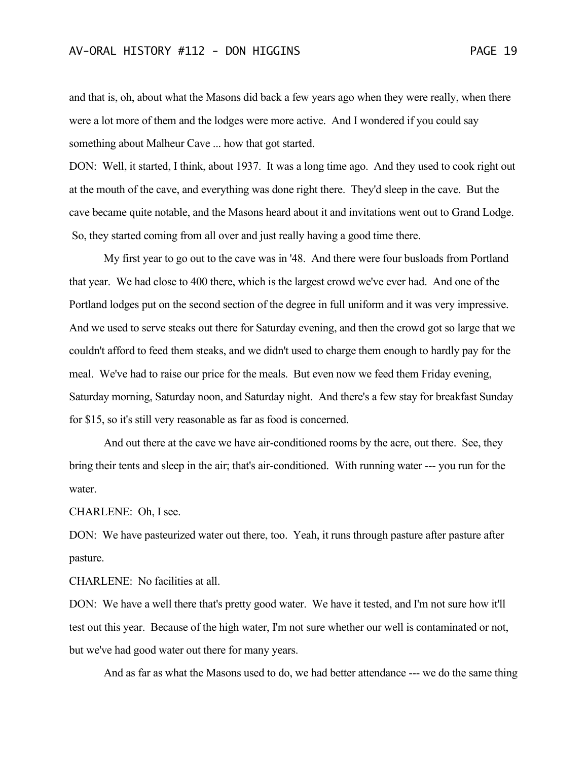and that is, oh, about what the Masons did back a few years ago when they were really, when there were a lot more of them and the lodges were more active. And I wondered if you could say something about Malheur Cave ... how that got started.

DON: Well, it started, I think, about 1937. It was a long time ago. And they used to cook right out at the mouth of the cave, and everything was done right there. They'd sleep in the cave. But the cave became quite notable, and the Masons heard about it and invitations went out to Grand Lodge. So, they started coming from all over and just really having a good time there.

My first year to go out to the cave was in '48. And there were four busloads from Portland that year. We had close to 400 there, which is the largest crowd we've ever had. And one of the Portland lodges put on the second section of the degree in full uniform and it was very impressive. And we used to serve steaks out there for Saturday evening, and then the crowd got so large that we couldn't afford to feed them steaks, and we didn't used to charge them enough to hardly pay for the meal. We've had to raise our price for the meals. But even now we feed them Friday evening, Saturday morning, Saturday noon, and Saturday night. And there's a few stay for breakfast Sunday for \$15, so it's still very reasonable as far as food is concerned.

And out there at the cave we have air-conditioned rooms by the acre, out there. See, they bring their tents and sleep in the air; that's air-conditioned. With running water --- you run for the water.

CHARLENE: Oh, I see.

DON: We have pasteurized water out there, too. Yeah, it runs through pasture after pasture after pasture.

CHARLENE: No facilities at all.

DON: We have a well there that's pretty good water. We have it tested, and I'm not sure how it'll test out this year. Because of the high water, I'm not sure whether our well is contaminated or not, but we've had good water out there for many years.

And as far as what the Masons used to do, we had better attendance --- we do the same thing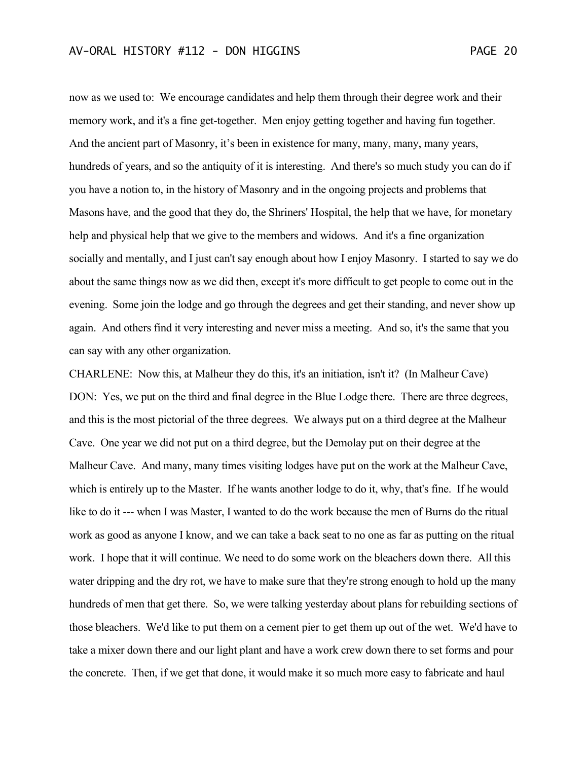now as we used to: We encourage candidates and help them through their degree work and their memory work, and it's a fine get-together. Men enjoy getting together and having fun together. And the ancient part of Masonry, it's been in existence for many, many, many, many years, hundreds of years, and so the antiquity of it is interesting. And there's so much study you can do if you have a notion to, in the history of Masonry and in the ongoing projects and problems that Masons have, and the good that they do, the Shriners' Hospital, the help that we have, for monetary help and physical help that we give to the members and widows. And it's a fine organization socially and mentally, and I just can't say enough about how I enjoy Masonry. I started to say we do about the same things now as we did then, except it's more difficult to get people to come out in the evening. Some join the lodge and go through the degrees and get their standing, and never show up again. And others find it very interesting and never miss a meeting. And so, it's the same that you can say with any other organization.

CHARLENE: Now this, at Malheur they do this, it's an initiation, isn't it? (In Malheur Cave) DON: Yes, we put on the third and final degree in the Blue Lodge there. There are three degrees, and this is the most pictorial of the three degrees. We always put on a third degree at the Malheur Cave. One year we did not put on a third degree, but the Demolay put on their degree at the Malheur Cave. And many, many times visiting lodges have put on the work at the Malheur Cave, which is entirely up to the Master. If he wants another lodge to do it, why, that's fine. If he would like to do it --- when I was Master, I wanted to do the work because the men of Burns do the ritual work as good as anyone I know, and we can take a back seat to no one as far as putting on the ritual work. I hope that it will continue. We need to do some work on the bleachers down there. All this water dripping and the dry rot, we have to make sure that they're strong enough to hold up the many hundreds of men that get there. So, we were talking yesterday about plans for rebuilding sections of those bleachers. We'd like to put them on a cement pier to get them up out of the wet. We'd have to take a mixer down there and our light plant and have a work crew down there to set forms and pour the concrete. Then, if we get that done, it would make it so much more easy to fabricate and haul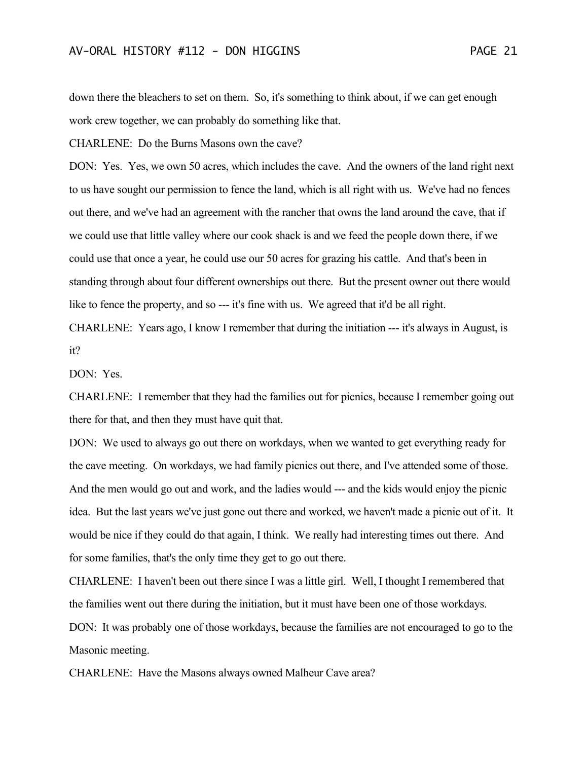down there the bleachers to set on them. So, it's something to think about, if we can get enough work crew together, we can probably do something like that.

CHARLENE: Do the Burns Masons own the cave?

DON: Yes. Yes, we own 50 acres, which includes the cave. And the owners of the land right next to us have sought our permission to fence the land, which is all right with us. We've had no fences out there, and we've had an agreement with the rancher that owns the land around the cave, that if we could use that little valley where our cook shack is and we feed the people down there, if we could use that once a year, he could use our 50 acres for grazing his cattle. And that's been in standing through about four different ownerships out there. But the present owner out there would like to fence the property, and so --- it's fine with us. We agreed that it'd be all right. CHARLENE: Years ago, I know I remember that during the initiation --- it's always in August, is

it?

DON: Yes.

CHARLENE: I remember that they had the families out for picnics, because I remember going out there for that, and then they must have quit that.

DON: We used to always go out there on workdays, when we wanted to get everything ready for the cave meeting. On workdays, we had family picnics out there, and I've attended some of those. And the men would go out and work, and the ladies would --- and the kids would enjoy the picnic idea. But the last years we've just gone out there and worked, we haven't made a picnic out of it. It would be nice if they could do that again, I think. We really had interesting times out there. And for some families, that's the only time they get to go out there.

CHARLENE: I haven't been out there since I was a little girl. Well, I thought I remembered that the families went out there during the initiation, but it must have been one of those workdays.

DON: It was probably one of those workdays, because the families are not encouraged to go to the Masonic meeting.

CHARLENE: Have the Masons always owned Malheur Cave area?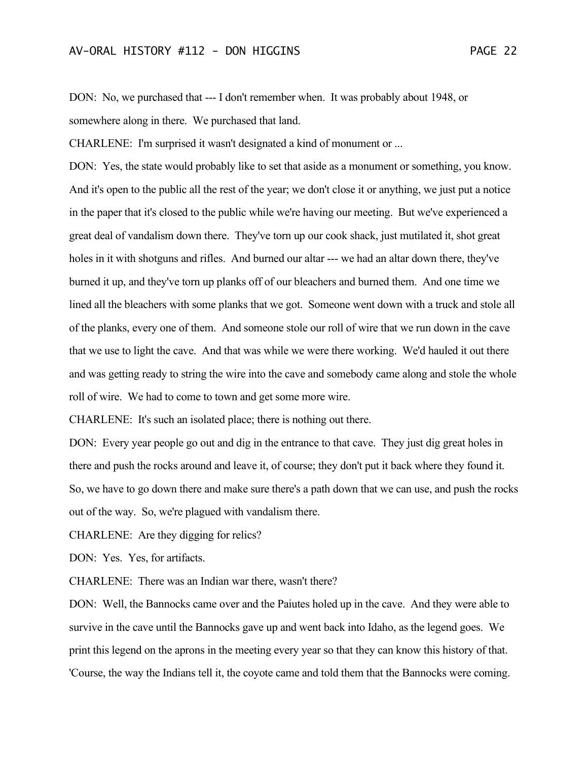DON: No, we purchased that --- I don't remember when. It was probably about 1948, or somewhere along in there. We purchased that land.

CHARLENE: I'm surprised it wasn't designated a kind of monument or ...

DON: Yes, the state would probably like to set that aside as a monument or something, you know. And it's open to the public all the rest of the year; we don't close it or anything, we just put a notice in the paper that it's closed to the public while we're having our meeting. But we've experienced a great deal of vandalism down there. They've torn up our cook shack, just mutilated it, shot great holes in it with shotguns and rifles. And burned our altar --- we had an altar down there, they've burned it up, and they've torn up planks off of our bleachers and burned them. And one time we lined all the bleachers with some planks that we got. Someone went down with a truck and stole all of the planks, every one of them. And someone stole our roll of wire that we run down in the cave that we use to light the cave. And that was while we were there working. We'd hauled it out there and was getting ready to string the wire into the cave and somebody came along and stole the whole roll of wire. We had to come to town and get some more wire.

CHARLENE: It's such an isolated place; there is nothing out there.

DON: Every year people go out and dig in the entrance to that cave. They just dig great holes in there and push the rocks around and leave it, of course; they don't put it back where they found it. So, we have to go down there and make sure there's a path down that we can use, and push the rocks out of the way. So, we're plagued with vandalism there.

CHARLENE: Are they digging for relics?

DON: Yes. Yes, for artifacts.

CHARLENE: There was an Indian war there, wasn't there?

DON: Well, the Bannocks came over and the Paiutes holed up in the cave. And they were able to survive in the cave until the Bannocks gave up and went back into Idaho, as the legend goes. We print this legend on the aprons in the meeting every year so that they can know this history of that. 'Course, the way the Indians tell it, the coyote came and told them that the Bannocks were coming.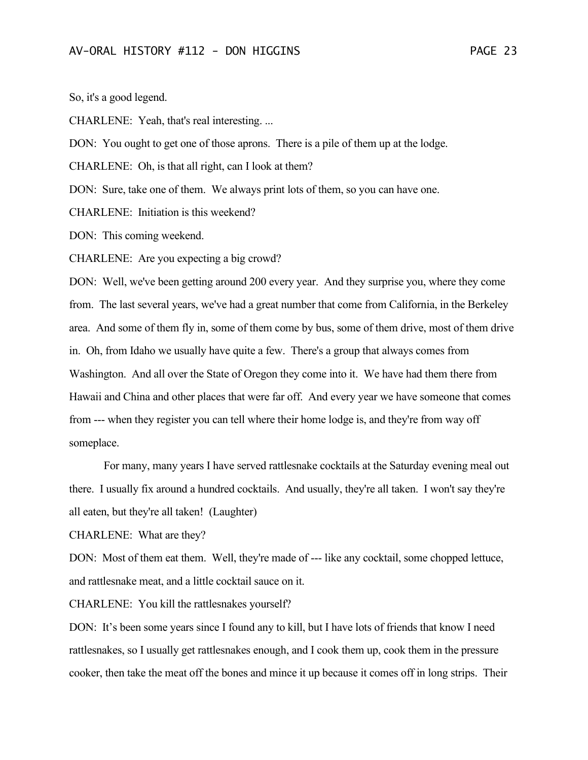So, it's a good legend.

CHARLENE: Yeah, that's real interesting. ...

DON: You ought to get one of those aprons. There is a pile of them up at the lodge.

CHARLENE: Oh, is that all right, can I look at them?

DON: Sure, take one of them. We always print lots of them, so you can have one.

CHARLENE: Initiation is this weekend?

DON: This coming weekend.

CHARLENE: Are you expecting a big crowd?

DON: Well, we've been getting around 200 every year. And they surprise you, where they come from. The last several years, we've had a great number that come from California, in the Berkeley area. And some of them fly in, some of them come by bus, some of them drive, most of them drive in. Oh, from Idaho we usually have quite a few. There's a group that always comes from Washington. And all over the State of Oregon they come into it. We have had them there from Hawaii and China and other places that were far off. And every year we have someone that comes from --- when they register you can tell where their home lodge is, and they're from way off someplace.

For many, many years I have served rattlesnake cocktails at the Saturday evening meal out there. I usually fix around a hundred cocktails. And usually, they're all taken. I won't say they're all eaten, but they're all taken! (Laughter)

CHARLENE: What are they?

DON: Most of them eat them. Well, they're made of --- like any cocktail, some chopped lettuce, and rattlesnake meat, and a little cocktail sauce on it.

CHARLENE: You kill the rattlesnakes yourself?

DON: It's been some years since I found any to kill, but I have lots of friends that know I need rattlesnakes, so I usually get rattlesnakes enough, and I cook them up, cook them in the pressure cooker, then take the meat off the bones and mince it up because it comes off in long strips. Their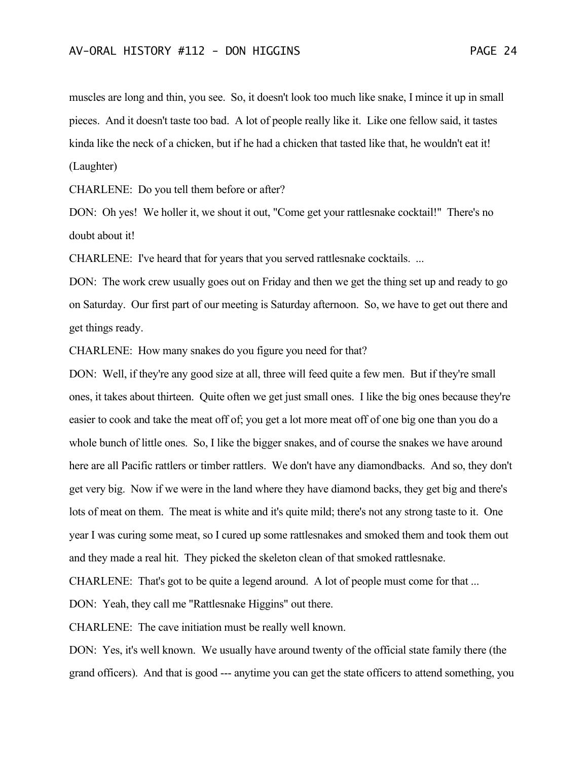muscles are long and thin, you see. So, it doesn't look too much like snake, I mince it up in small pieces. And it doesn't taste too bad. A lot of people really like it. Like one fellow said, it tastes kinda like the neck of a chicken, but if he had a chicken that tasted like that, he wouldn't eat it! (Laughter)

CHARLENE: Do you tell them before or after?

DON: Oh yes! We holler it, we shout it out, "Come get your rattlesnake cocktail!" There's no doubt about it!

CHARLENE: I've heard that for years that you served rattlesnake cocktails. ...

DON: The work crew usually goes out on Friday and then we get the thing set up and ready to go on Saturday. Our first part of our meeting is Saturday afternoon. So, we have to get out there and get things ready.

CHARLENE: How many snakes do you figure you need for that?

DON: Well, if they're any good size at all, three will feed quite a few men. But if they're small ones, it takes about thirteen. Quite often we get just small ones. I like the big ones because they're easier to cook and take the meat off of; you get a lot more meat off of one big one than you do a whole bunch of little ones. So, I like the bigger snakes, and of course the snakes we have around here are all Pacific rattlers or timber rattlers. We don't have any diamondbacks. And so, they don't get very big. Now if we were in the land where they have diamond backs, they get big and there's lots of meat on them. The meat is white and it's quite mild; there's not any strong taste to it. One year I was curing some meat, so I cured up some rattlesnakes and smoked them and took them out and they made a real hit. They picked the skeleton clean of that smoked rattlesnake.

CHARLENE: That's got to be quite a legend around. A lot of people must come for that ...

DON: Yeah, they call me "Rattlesnake Higgins" out there.

CHARLENE: The cave initiation must be really well known.

DON: Yes, it's well known. We usually have around twenty of the official state family there (the grand officers). And that is good --- anytime you can get the state officers to attend something, you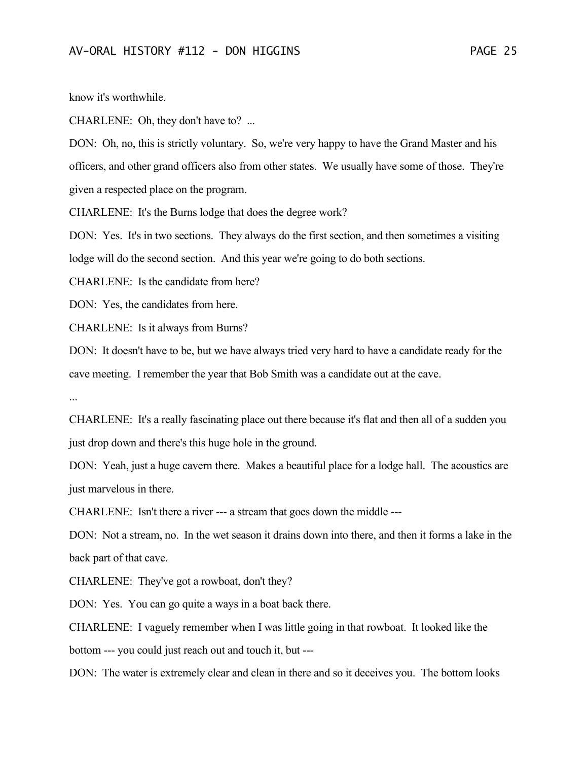know it's worthwhile.

CHARLENE: Oh, they don't have to? ...

DON: Oh, no, this is strictly voluntary. So, we're very happy to have the Grand Master and his officers, and other grand officers also from other states. We usually have some of those. They're given a respected place on the program.

CHARLENE: It's the Burns lodge that does the degree work?

DON: Yes. It's in two sections. They always do the first section, and then sometimes a visiting lodge will do the second section. And this year we're going to do both sections.

CHARLENE: Is the candidate from here?

DON: Yes, the candidates from here.

CHARLENE: Is it always from Burns?

DON: It doesn't have to be, but we have always tried very hard to have a candidate ready for the cave meeting. I remember the year that Bob Smith was a candidate out at the cave.

...

CHARLENE: It's a really fascinating place out there because it's flat and then all of a sudden you just drop down and there's this huge hole in the ground.

DON: Yeah, just a huge cavern there. Makes a beautiful place for a lodge hall. The acoustics are just marvelous in there.

CHARLENE: Isn't there a river --- a stream that goes down the middle ---

DON: Not a stream, no. In the wet season it drains down into there, and then it forms a lake in the back part of that cave.

CHARLENE: They've got a rowboat, don't they?

DON: Yes. You can go quite a ways in a boat back there.

CHARLENE: I vaguely remember when I was little going in that rowboat. It looked like the

bottom --- you could just reach out and touch it, but ---

DON: The water is extremely clear and clean in there and so it deceives you. The bottom looks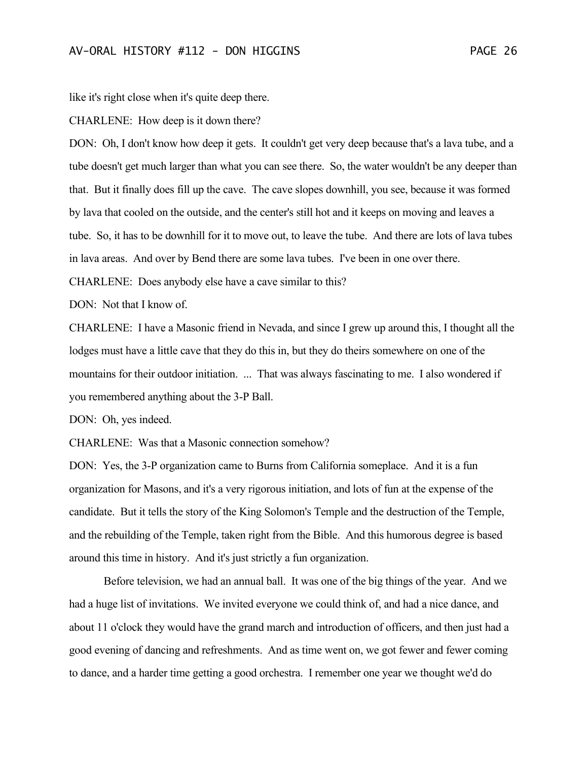like it's right close when it's quite deep there.

CHARLENE: How deep is it down there?

DON: Oh, I don't know how deep it gets. It couldn't get very deep because that's a lava tube, and a tube doesn't get much larger than what you can see there. So, the water wouldn't be any deeper than that. But it finally does fill up the cave. The cave slopes downhill, you see, because it was formed by lava that cooled on the outside, and the center's still hot and it keeps on moving and leaves a tube. So, it has to be downhill for it to move out, to leave the tube. And there are lots of lava tubes in lava areas. And over by Bend there are some lava tubes. I've been in one over there.

CHARLENE: Does anybody else have a cave similar to this?

DON: Not that I know of.

CHARLENE: I have a Masonic friend in Nevada, and since I grew up around this, I thought all the lodges must have a little cave that they do this in, but they do theirs somewhere on one of the mountains for their outdoor initiation. ... That was always fascinating to me. I also wondered if you remembered anything about the 3-P Ball.

DON: Oh, yes indeed.

CHARLENE: Was that a Masonic connection somehow?

DON: Yes, the 3-P organization came to Burns from California someplace. And it is a fun organization for Masons, and it's a very rigorous initiation, and lots of fun at the expense of the candidate. But it tells the story of the King Solomon's Temple and the destruction of the Temple, and the rebuilding of the Temple, taken right from the Bible. And this humorous degree is based around this time in history. And it's just strictly a fun organization.

Before television, we had an annual ball. It was one of the big things of the year. And we had a huge list of invitations. We invited everyone we could think of, and had a nice dance, and about 11 o'clock they would have the grand march and introduction of officers, and then just had a good evening of dancing and refreshments. And as time went on, we got fewer and fewer coming to dance, and a harder time getting a good orchestra. I remember one year we thought we'd do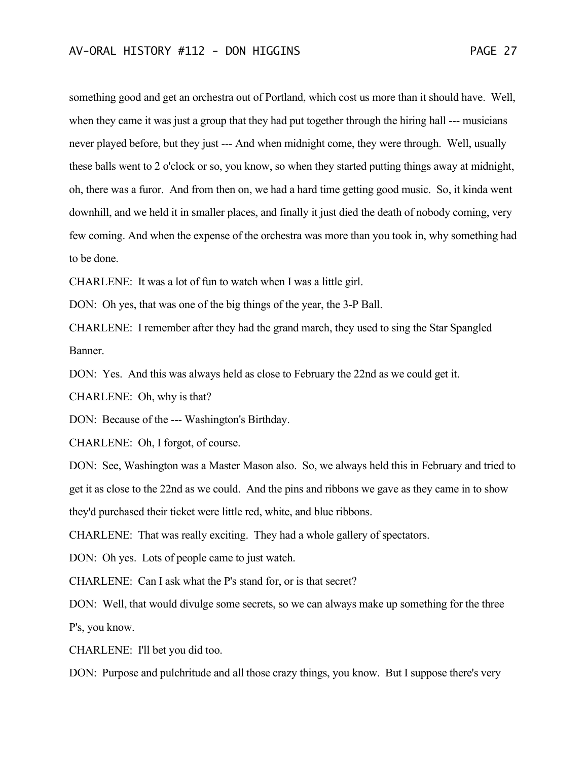something good and get an orchestra out of Portland, which cost us more than it should have. Well, when they came it was just a group that they had put together through the hiring hall --- musicians never played before, but they just --- And when midnight come, they were through. Well, usually these balls went to 2 o'clock or so, you know, so when they started putting things away at midnight, oh, there was a furor. And from then on, we had a hard time getting good music. So, it kinda went downhill, and we held it in smaller places, and finally it just died the death of nobody coming, very few coming. And when the expense of the orchestra was more than you took in, why something had to be done.

CHARLENE: It was a lot of fun to watch when I was a little girl.

DON: Oh yes, that was one of the big things of the year, the 3-P Ball.

CHARLENE: I remember after they had the grand march, they used to sing the Star Spangled Banner.

DON: Yes. And this was always held as close to February the 22nd as we could get it.

CHARLENE: Oh, why is that?

DON: Because of the --- Washington's Birthday.

CHARLENE: Oh, I forgot, of course.

DON: See, Washington was a Master Mason also. So, we always held this in February and tried to get it as close to the 22nd as we could. And the pins and ribbons we gave as they came in to show they'd purchased their ticket were little red, white, and blue ribbons.

CHARLENE: That was really exciting. They had a whole gallery of spectators.

DON: Oh yes. Lots of people came to just watch.

CHARLENE: Can I ask what the P's stand for, or is that secret?

DON: Well, that would divulge some secrets, so we can always make up something for the three P's, you know.

CHARLENE: I'll bet you did too.

DON: Purpose and pulchritude and all those crazy things, you know. But I suppose there's very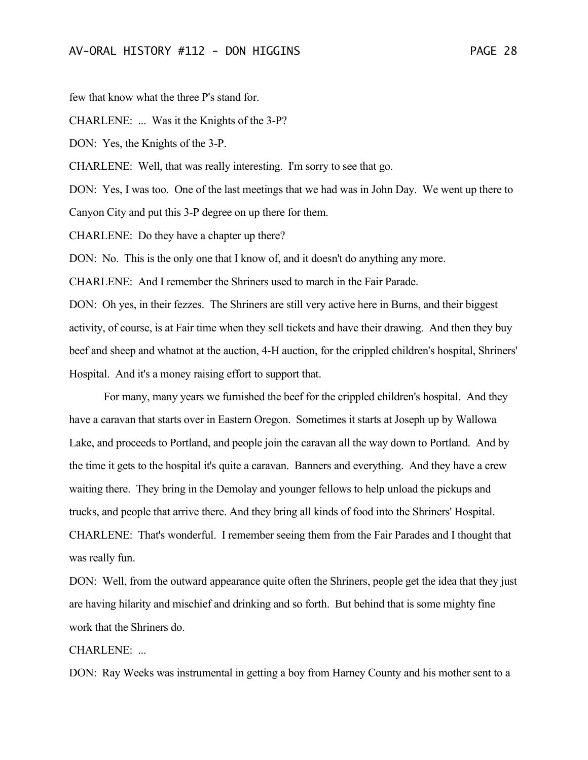few that know what the three P's stand for.

CHARLENE: ... Was it the Knights of the 3-P?

DON: Yes, the Knights of the 3-P.

CHARLENE: Well, that was really interesting. I'm sorry to see that go.

DON: Yes, I was too. One of the last meetings that we had was in John Day. We went up there to

Canyon City and put this 3-P degree on up there for them.

CHARLENE: Do they have a chapter up there?

DON: No. This is the only one that I know of, and it doesn't do anything any more.

CHARLENE: And I remember the Shriners used to march in the Fair Parade.

DON: Oh yes, in their fezzes. The Shriners are still very active here in Burns, and their biggest activity, of course, is at Fair time when they sell tickets and have their drawing. And then they buy beef and sheep and whatnot at the auction, 4-H auction, for the crippled children's hospital, Shriners' Hospital. And it's a money raising effort to support that.

For many, many years we furnished the beef for the crippled children's hospital. And they have a caravan that starts over in Eastern Oregon. Sometimes it starts at Joseph up by Wallowa Lake, and proceeds to Portland, and people join the caravan all the way down to Portland. And by the time it gets to the hospital it's quite a caravan. Banners and everything. And they have a crew waiting there. They bring in the Demolay and younger fellows to help unload the pickups and trucks, and people that arrive there. And they bring all kinds of food into the Shriners' Hospital. CHARLENE: That's wonderful. I remember seeing them from the Fair Parades and I thought that was really fun.

DON: Well, from the outward appearance quite often the Shriners, people get the idea that they just are having hilarity and mischief and drinking and so forth. But behind that is some mighty fine work that the Shriners do.

CHARLENE: ...

DON: Ray Weeks was instrumental in getting a boy from Harney County and his mother sent to a